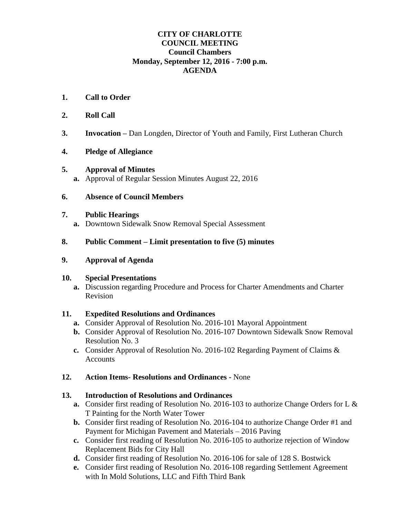## **CITY OF CHARLOTTE COUNCIL MEETING Council Chambers Monday, September 12, 2016 - 7:00 p.m. AGENDA**

- **1. Call to Order**
- **2. Roll Call**
- **3. Invocation –** Dan Longden, Director of Youth and Family, First Lutheran Church
- **4. Pledge of Allegiance**

## **5. Approval of Minutes**

**a.** Approval of Regular Session Minutes August 22, 2016

## **6. Absence of Council Members**

#### **7. Public Hearings**

**a.** Downtown Sidewalk Snow Removal Special Assessment

## **8. Public Comment – Limit presentation to five (5) minutes**

#### **9. Approval of Agenda**

#### **10. Special Presentations**

**a.** Discussion regarding Procedure and Process for Charter Amendments and Charter Revision

#### **11. Expedited Resolutions and Ordinances**

- **a.** Consider Approval of Resolution No. 2016-101 Mayoral Appointment
- **b.** Consider Approval of Resolution No. 2016-107 Downtown Sidewalk Snow Removal Resolution No. 3
- **c.** Consider Approval of Resolution No. 2016-102 Regarding Payment of Claims & **Accounts**

## **12. Action Items- Resolutions and Ordinances -** None

#### **13. Introduction of Resolutions and Ordinances**

- **a.** Consider first reading of Resolution No. 2016-103 to authorize Change Orders for L & T Painting for the North Water Tower
- **b.** Consider first reading of Resolution No. 2016-104 to authorize Change Order #1 and Payment for Michigan Pavement and Materials – 2016 Paving
- **c.** Consider first reading of Resolution No. 2016-105 to authorize rejection of Window Replacement Bids for City Hall
- **d.** Consider first reading of Resolution No. 2016-106 for sale of 128 S. Bostwick
- **e.** Consider first reading of Resolution No. 2016-108 regarding Settlement Agreement with In Mold Solutions, LLC and Fifth Third Bank